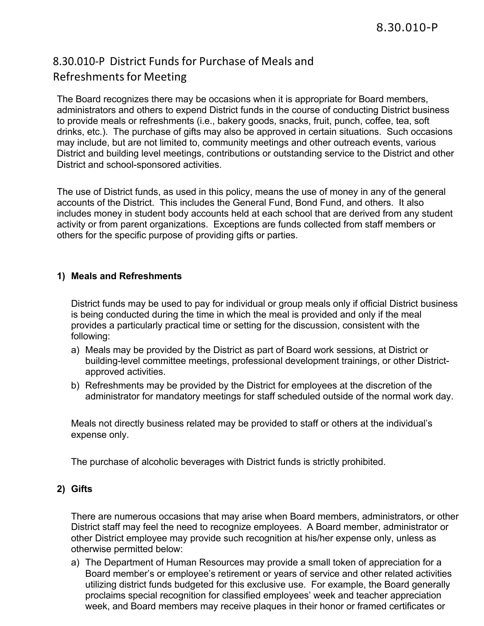## 8.30.010-P District Funds for Purchase of Meals and Refreshmentsfor Meeting

The Board recognizes there may be occasions when it is appropriate for Board members, administrators and others to expend District funds in the course of conducting District business to provide meals or refreshments (i.e., bakery goods, snacks, fruit, punch, coffee, tea, soft drinks, etc.). The purchase of gifts may also be approved in certain situations. Such occasions may include, but are not limited to, community meetings and other outreach events, various District and building level meetings, contributions or outstanding service to the District and other District and school-sponsored activities.

The use of District funds, as used in this policy, means the use of money in any of the general accounts of the District. This includes the General Fund, Bond Fund, and others. It also includes money in student body accounts held at each school that are derived from any student activity or from parent organizations. Exceptions are funds collected from staff members or others for the specific purpose of providing gifts or parties.

## **1) Meals and Refreshments**

District funds may be used to pay for individual or group meals only if official District business is being conducted during the time in which the meal is provided and only if the meal provides a particularly practical time or setting for the discussion, consistent with the following:

- a) Meals may be provided by the District as part of Board work sessions, at District or building-level committee meetings, professional development trainings, or other Districtapproved activities.
- b) Refreshments may be provided by the District for employees at the discretion of the administrator for mandatory meetings for staff scheduled outside of the normal work day.

Meals not directly business related may be provided to staff or others at the individual's expense only.

The purchase of alcoholic beverages with District funds is strictly prohibited.

## **2) Gifts**

There are numerous occasions that may arise when Board members, administrators, or other District staff may feel the need to recognize employees. A Board member, administrator or other District employee may provide such recognition at his/her expense only, unless as otherwise permitted below:

a) The Department of Human Resources may provide a small token of appreciation for a Board member's or employee's retirement or years of service and other related activities utilizing district funds budgeted for this exclusive use. For example, the Board generally proclaims special recognition for classified employees' week and teacher appreciation week, and Board members may receive plaques in their honor or framed certificates or